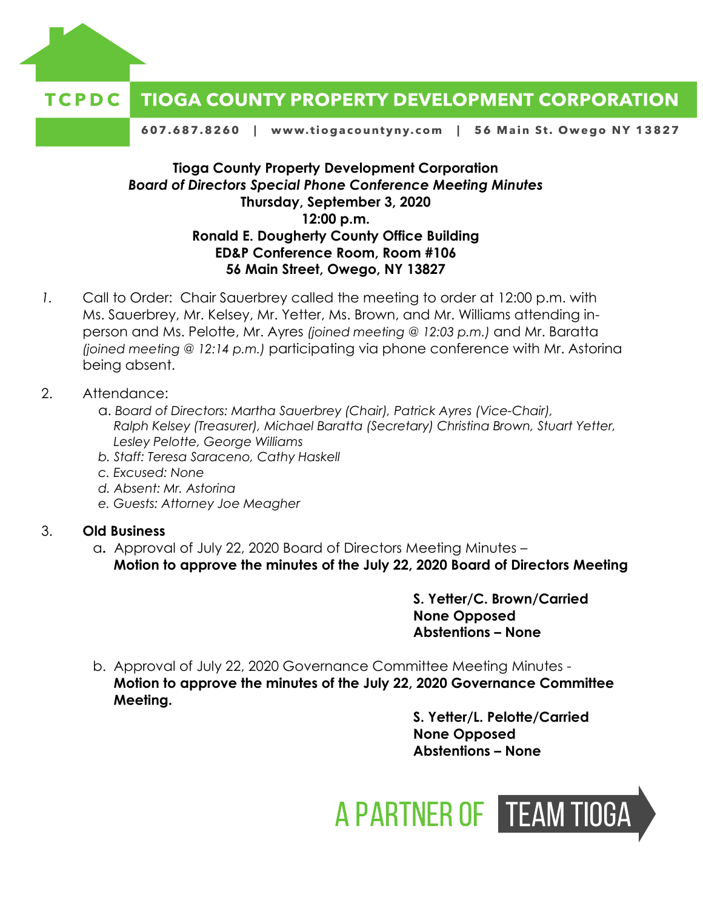

#### **TIOGA COUNTY PROPERTY DEVELOPMENT CORPORATION** TCPDC

607.687.8260 | www.tiogacountyny.com | 56 Main St. Owego NY 13827

## **Tioga County Property Development Corporation** *Board of Directors Special Phone Conference Meeting Minutes*  **Thursday, September 3, 2020 12:00 p.m. Ronald E. Dougherty County Office Building ED&P Conference Room, Room #106 56 Main Street, Owego, NY 13827**

- *1.* Call to Order: Chair Sauerbrey called the meeting to order at 12:00 p.m. with Ms. Sauerbrey, Mr. Kelsey, Mr. Yetter, Ms. Brown, and Mr. Williams attending inperson and Ms. Pelotte, Mr. Ayres *(joined meeting @ 12:03 p.m.)* and Mr. Baratta *(joined meeting @ 12:14 p.m.)* participating via phone conference with Mr. Astorina being absent.
- 2. Attendance:
	- a. *Board of Directors: Martha Sauerbrey (Chair), Patrick Ayres (Vice-Chair), Ralph Kelsey (Treasurer), Michael Baratta (Secretary) Christina Brown, Stuart Yetter, Lesley Pelotte, George Williams*
	- *b. Staff: Teresa Saraceno, Cathy Haskell*
	- *c. Excused: None*
	- *d. Absent: Mr. Astorina*
	- *e. Guests: Attorney Joe Meagher*

#### 3. **Old Business**

a**.** Approval of July 22, 2020 Board of Directors Meeting Minutes – **Motion to approve the minutes of the July 22, 2020 Board of Directors Meeting**

> **S. Yetter/C. Brown/Carried None Opposed Abstentions – None**

b. Approval of July 22, 2020 Governance Committee Meeting Minutes - **Motion to approve the minutes of the July 22, 2020 Governance Committee Meeting.**

> **S. Yetter/L. Pelotte/Carried None Opposed Abstentions – None**

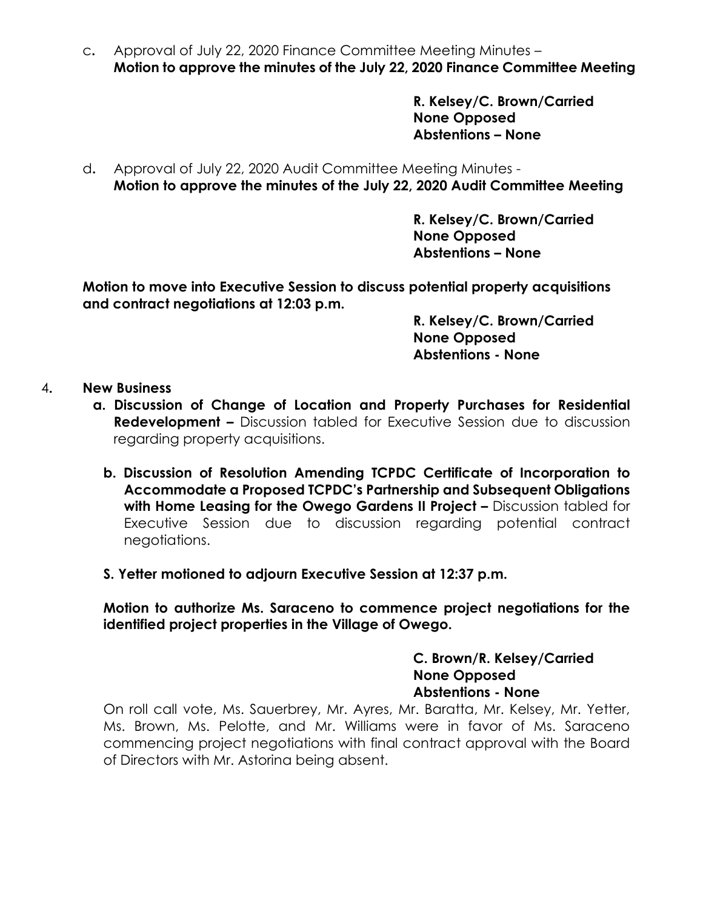c**.** Approval of July 22, 2020 Finance Committee Meeting Minutes – **Motion to approve the minutes of the July 22, 2020 Finance Committee Meeting**

> **R. Kelsey/C. Brown/Carried None Opposed Abstentions – None**

d**.** Approval of July 22, 2020 Audit Committee Meeting Minutes - **Motion to approve the minutes of the July 22, 2020 Audit Committee Meeting**

> **R. Kelsey/C. Brown/Carried None Opposed Abstentions – None**

**Motion to move into Executive Session to discuss potential property acquisitions and contract negotiations at 12:03 p.m.** 

> **R. Kelsey/C. Brown/Carried None Opposed Abstentions - None**

- 4**. New Business**
	- **a. Discussion of Change of Location and Property Purchases for Residential Redevelopment –** Discussion tabled for Executive Session due to discussion regarding property acquisitions.
		- **b. Discussion of Resolution Amending TCPDC Certificate of Incorporation to Accommodate a Proposed TCPDC's Partnership and Subsequent Obligations with Home Leasing for the Owego Gardens II Project –** Discussion tabled for Executive Session due to discussion regarding potential contract negotiations.
		- **S. Yetter motioned to adjourn Executive Session at 12:37 p.m.**

**Motion to authorize Ms. Saraceno to commence project negotiations for the identified project properties in the Village of Owego.** 

> **C. Brown/R. Kelsey/Carried None Opposed Abstentions - None**

On roll call vote, Ms. Sauerbrey, Mr. Ayres, Mr. Baratta, Mr. Kelsey, Mr. Yetter, Ms. Brown, Ms. Pelotte, and Mr. Williams were in favor of Ms. Saraceno commencing project negotiations with final contract approval with the Board of Directors with Mr. Astorina being absent.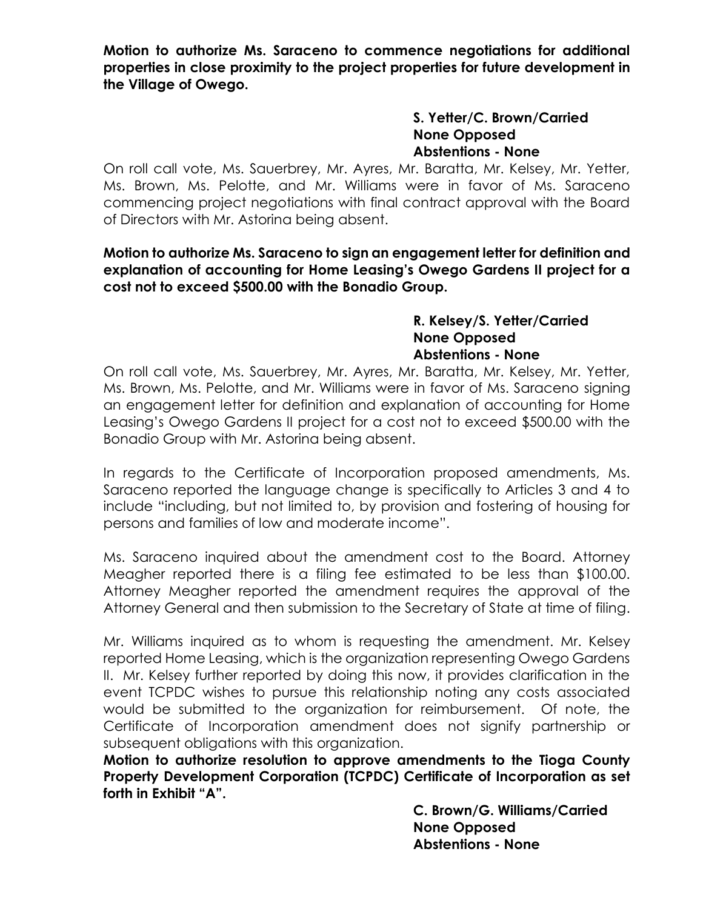**Motion to authorize Ms. Saraceno to commence negotiations for additional properties in close proximity to the project properties for future development in the Village of Owego.** 

## **S. Yetter/C. Brown/Carried None Opposed Abstentions - None**

On roll call vote, Ms. Sauerbrey, Mr. Ayres, Mr. Baratta, Mr. Kelsey, Mr. Yetter, Ms. Brown, Ms. Pelotte, and Mr. Williams were in favor of Ms. Saraceno commencing project negotiations with final contract approval with the Board of Directors with Mr. Astorina being absent.

## **Motion to authorize Ms. Saraceno to sign an engagement letter for definition and explanation of accounting for Home Leasing's Owego Gardens II project for a cost not to exceed \$500.00 with the Bonadio Group.**

#### **R. Kelsey/S. Yetter/Carried None Opposed Abstentions - None**

On roll call vote, Ms. Sauerbrey, Mr. Ayres, Mr. Baratta, Mr. Kelsey, Mr. Yetter, Ms. Brown, Ms. Pelotte, and Mr. Williams were in favor of Ms. Saraceno signing an engagement letter for definition and explanation of accounting for Home Leasing's Owego Gardens II project for a cost not to exceed \$500.00 with the Bonadio Group with Mr. Astorina being absent.

In regards to the Certificate of Incorporation proposed amendments, Ms. Saraceno reported the language change is specifically to Articles 3 and 4 to include "including, but not limited to, by provision and fostering of housing for persons and families of low and moderate income".

Ms. Saraceno inquired about the amendment cost to the Board. Attorney Meagher reported there is a filing fee estimated to be less than \$100.00. Attorney Meagher reported the amendment requires the approval of the Attorney General and then submission to the Secretary of State at time of filing.

Mr. Williams inquired as to whom is requesting the amendment. Mr. Kelsey reported Home Leasing, which is the organization representing Owego Gardens II. Mr. Kelsey further reported by doing this now, it provides clarification in the event TCPDC wishes to pursue this relationship noting any costs associated would be submitted to the organization for reimbursement. Of note, the Certificate of Incorporation amendment does not signify partnership or subsequent obligations with this organization.

**Motion to authorize resolution to approve amendments to the Tioga County Property Development Corporation (TCPDC) Certificate of Incorporation as set forth in Exhibit "A".** 

**C. Brown/G. Williams/Carried None Opposed Abstentions - None**